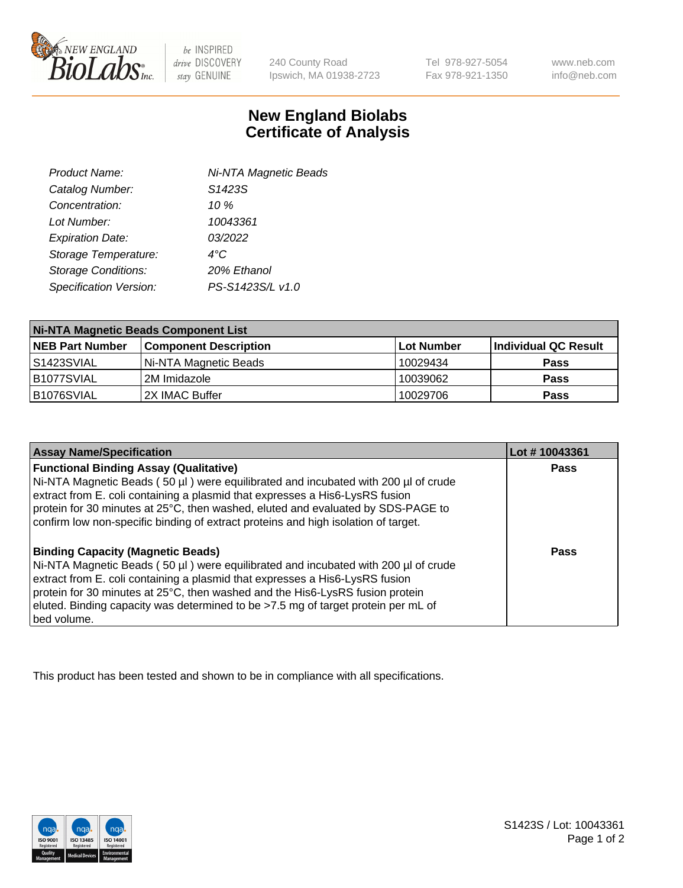

be INSPIRED drive DISCOVERY stay GENUINE

240 County Road Ipswich, MA 01938-2723 Tel 978-927-5054 Fax 978-921-1350

www.neb.com info@neb.com

## **New England Biolabs Certificate of Analysis**

| Product Name:              | Ni-NTA Magnetic Beads |  |
|----------------------------|-----------------------|--|
| Catalog Number:            | S1423S                |  |
| Concentration:             | 10%                   |  |
| Lot Number:                | 10043361              |  |
| <b>Expiration Date:</b>    | 03/2022               |  |
| Storage Temperature:       | $4^{\circ}$ C         |  |
| <b>Storage Conditions:</b> | 20% Ethanol           |  |
| Specification Version:     | PS-S1423S/L v1.0      |  |
|                            |                       |  |

| <b>Ni-NTA Magnetic Beads Component List</b> |                              |                   |                      |  |
|---------------------------------------------|------------------------------|-------------------|----------------------|--|
| <b>NEB Part Number</b>                      | <b>Component Description</b> | <b>Lot Number</b> | Individual QC Result |  |
| IS1423SVIAL                                 | Ni-NTA Magnetic Beads        | 10029434          | <b>Pass</b>          |  |
| B1077SVIAL                                  | 2M Imidazole                 | 10039062          | <b>Pass</b>          |  |
| B1076SVIAL                                  | 2X IMAC Buffer               | 10029706          | <b>Pass</b>          |  |

| <b>Assay Name/Specification</b>                                                                                                                                                                                                                                                                                                                                                                     | Lot #10043361 |
|-----------------------------------------------------------------------------------------------------------------------------------------------------------------------------------------------------------------------------------------------------------------------------------------------------------------------------------------------------------------------------------------------------|---------------|
| <b>Functional Binding Assay (Qualitative)</b><br>Ni-NTA Magnetic Beads (50 µl) were equilibrated and incubated with 200 µl of crude<br>extract from E. coli containing a plasmid that expresses a His6-LysRS fusion<br>protein for 30 minutes at 25°C, then washed, eluted and evaluated by SDS-PAGE to<br>confirm low non-specific binding of extract proteins and high isolation of target.       | <b>Pass</b>   |
| <b>Binding Capacity (Magnetic Beads)</b><br>Ni-NTA Magnetic Beads (50 µl) were equilibrated and incubated with 200 µl of crude<br>extract from E. coli containing a plasmid that expresses a His6-LysRS fusion<br>protein for 30 minutes at 25°C, then washed and the His6-LysRS fusion protein<br>eluted. Binding capacity was determined to be >7.5 mg of target protein per mL of<br>bed volume. | Pass          |

This product has been tested and shown to be in compliance with all specifications.